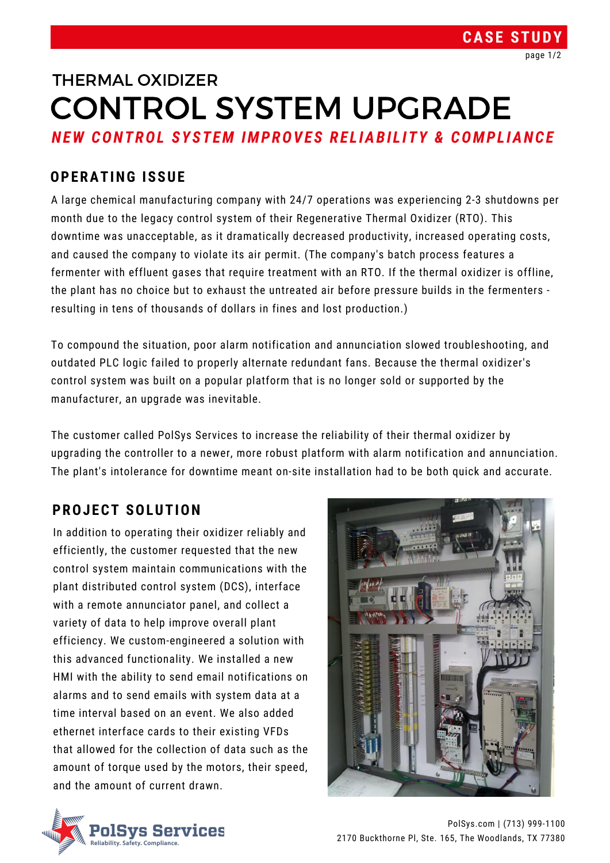In addition to operating their oxidizer reliably and efficiently, the customer requested that the new control system maintain communications with the plant distributed control system (DCS), interface with a remote annunciator panel, and collect a variety of data to help improve overall plant efficiency. We custom-engineered a solution with this advanced functionality. We installed a new HMI with the ability to send email notifications on alarms and to send emails with system data at a time interval based on an event. We also added ethernet interface cards to their existing VFDs that allowed for the collection of data such as the amount of torque used by the motors, their speed, and the amount of current drawn.





A large chemical manufacturing company with 24/7 operations was experiencing 2-3 shutdowns per month due to the legacy control system of their Regenerative Thermal Oxidizer (RTO). This downtime was unacceptable, as it dramatically decreased productivity, increased operating costs, and caused the company to violate its air permit. (The company's batch process features a fermenter with effluent gases that require treatment with an RTO. If the thermal oxidizer is offline, the plant has no choice but to exhaust the untreated air before pressure builds in the fermenters resulting in tens of thousands of dollars in fines and lost production.)

# *NEW CONTROL SYSTEM IMPROVES RE L IABI L ITY & COMPL IANCE* CONTROL SYSTEM UPGRADE THERMAL OXIDIZER

To compound the situation, poor alarm notification and annunciation slowed troubleshooting, and outdated PLC logic failed to properly alternate redundant fans. Because the thermal oxidizer's control system was built on a popular platform that is no longer sold or supported by the manufacturer, an upgrade was inevitable.

The customer called PolSys Services to increase the reliability of their thermal oxidizer by upgrading the controller to a newer, more robust platform with alarm notification and annunciation.

The plant's intolerance for downtime meant on-site installation had to be both quick and accurate.

## **OPERATING ISSUE**

## **PROJECT SOLUTION**

## **CASE STUDY**

PolSys.com | (713) 999-1100 2170 Buckthorne Pl, Ste. 165, The Woodlands, TX 77380

page 1/2